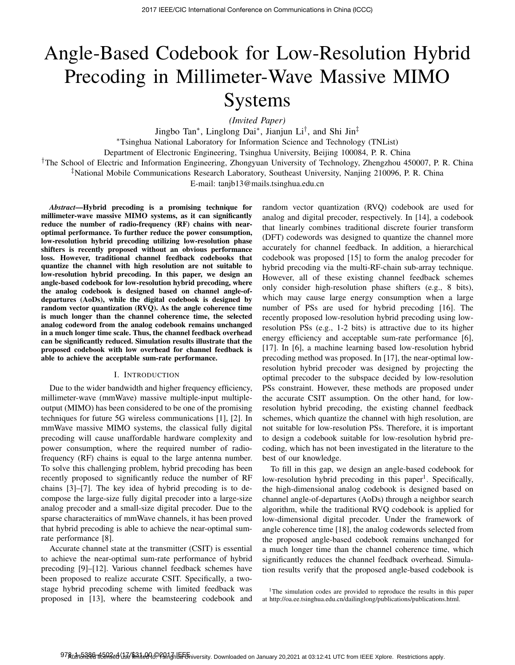# Angle-Based Codebook for Low-Resolution Hybrid Precoding in Millimeter-Wave Massive MIMO Systems

*(Invited Paper)*

Jingbo Tan<sup>∗</sup>, Linglong Dai<sup>∗</sup>, Jianjun Li<sup>†</sup>, and Shi Jin<sup>‡</sup>

∗Tsinghua National Laboratory for Information Science and Technology (TNList)

Department of Electronic Engineering, Tsinghua University, Beijing 100084, P. R. China

†The School of Electric and Information Engineering, Zhongyuan University of Technology, Zhengzhou 450007, P. R. China

‡National Mobile Communications Research Laboratory, Southeast University, Nanjing 210096, P. R. China

E-mail: tanjb13@mails.tsinghua.edu.cn

*Abstract*—Hybrid precoding is a promising technique for millimeter-wave massive MIMO systems, as it can significantly reduce the number of radio-frequency (RF) chains with nearoptimal performance. To further reduce the power consumption, low-resolution hybrid precoding utilizing low-resolution phase shifters is recently proposed without an obvious performance loss. However, traditional channel feedback codebooks that quantize the channel with high resolution are not suitable to low-resolution hybrid precoding. In this paper, we design an angle-based codebook for low-resolution hybrid precoding, where the analog codebook is designed based on channel angle-ofdepartures (AoDs), while the digital codebook is designed by random vector quantization (RVQ). As the angle coherence time is much longer than the channel coherence time, the selected analog codeword from the analog codebook remains unchanged in a much longer time scale. Thus, the channel feedback overhead can be significantly reduced. Simulation results illustrate that the proposed codebook with low overhead for channel feedback is able to achieve the acceptable sum-rate performance.

# I. INTRODUCTION

Due to the wider bandwidth and higher frequency efficiency, millimeter-wave (mmWave) massive multiple-input multipleoutput (MIMO) has been considered to be one of the promising techniques for future 5G wireless communications [1], [2]. In mmWave massive MIMO systems, the classical fully digital precoding will cause unaffordable hardware complexity and power consumption, where the required number of radiofrequency (RF) chains is equal to the large antenna number. To solve this challenging problem, hybrid precoding has been recently proposed to significantly reduce the number of RF chains [3]–[7]. The key idea of hybrid precoding is to decompose the large-size fully digital precoder into a large-size analog precoder and a small-size digital precoder. Due to the sparse characteraitics of mmWave channels, it has been proved that hybrid precoding is able to achieve the near-optimal sumrate performance [8].

Accurate channel state at the transmitter (CSIT) is essential to achieve the near-optimal sum-rate performance of hybrid precoding [9]–[12]. Various channel feedback schemes have been proposed to realize accurate CSIT. Specifically, a twostage hybrid precoding scheme with limited feedback was proposed in [13], where the beamsteering codebook and

random vector quantization (RVQ) codebook are used for analog and digital precoder, respectively. In [14], a codebook that linearly combines traditional discrete fourier transform (DFT) codewords was designed to quantize the channel more accurately for channel feedback. In addition, a hierarchical codebook was proposed [15] to form the analog precoder for hybrid precoding via the multi-RF-chain sub-array technique. However, all of these existing channel feedback schemes only consider high-resolution phase shifters (e.g., 8 bits), which may cause large energy consumption when a large number of PSs are used for hybrid precoding [16]. The recently proposed low-resolution hybrid precoding using lowresolution PSs (e.g., 1-2 bits) is attractive due to its higher energy efficiency and acceptable sum-rate performance [6], [17]. In [6], a machine learning based low-resolution hybrid precoding method was proposed. In [17], the near-optimal lowresolution hybrid precoder was designed by projecting the optimal precoder to the subspace decided by low-resolution PSs constraint. However, these methods are proposed under the accurate CSIT assumption. On the other hand, for lowresolution hybrid precoding, the existing channel feedback schemes, which quantize the channel with high resolution, are not suitable for low-resolution PSs. Therefore, it is important to design a codebook suitable for low-resolution hybrid precoding, which has not been investigated in the literature to the best of our knowledge.

To fill in this gap, we design an angle-based codebook for low-resolution hybrid precoding in this paper<sup>1</sup>. Specifically, the high-dimensional analog codebook is designed based on channel angle-of-departures (AoDs) through a neighbor search algorithm, while the traditional RVQ codebook is applied for low-dimensional digital precoder. Under the framework of angle coherence time [18], the analog codewords selected from the proposed angle-based codebook remains unchanged for a much longer time than the channel coherence time, which significantly reduces the channel feedback overhead. Simulation results verify that the proposed angle-based codebook is

<sup>1</sup>The simulation codes are provided to reproduce the results in this paper at http://oa.ee.tsinghua.edu.cn/dailinglong/publications/publications.html.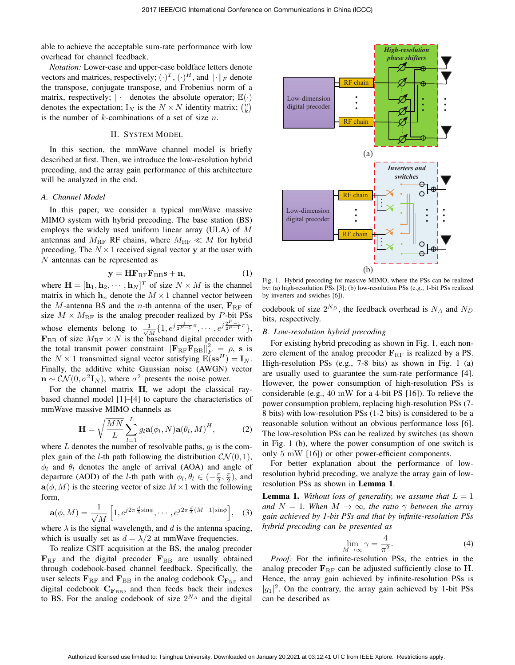able to achieve the acceptable sum-rate performance with low overhead for channel feedback.

*Notation:* Lower-case and upper-case boldface letters denote vectors and matrices, respectively;  $(\cdot)^T$ ,  $(\cdot)^H$ , and  $\|\cdot\|_F$  denote<br>the transpose, conjugate transpose, and Frobenius porm of a the transpose, conjugate transpose, and Frobenius norm of a matrix, respectively;  $|\cdot|$  denotes the absolute operator;  $\mathbb{E}(\cdot)$ denotes the expectation;  $I_N$  is the  $N \times N$  identity matrix;  $\binom{n}{k}$ is the number of  $k$ -combinations of a set of size  $n$ .

## II. SYSTEM MODEL

In this section, the mmWave channel model is briefly described at first. Then, we introduce the low-resolution hybrid precoding, and the array gain performance of this architecture will be analyzed in the end.

# *A. Channel Model*

In this paper, we consider a typical mmWave massive MIMO system with hybrid precoding. The base station (BS) employs the widely used uniform linear array (ULA) of M antennas and  $M_{\rm RF}$  RF chains, where  $M_{\rm RF} \ll M$  for hybrid precoding. The  $N \times 1$  received signal vector **y** at the user with N antennas can be represented as

$$
\mathbf{y} = \mathbf{H}\mathbf{F}_{\text{RF}}\mathbf{F}_{\text{BB}}\mathbf{s} + \mathbf{n},\tag{1}
$$

where  $\mathbf{H} = [\mathbf{h}_1, \mathbf{h}_2, \cdots, \mathbf{h}_N]^T$  of size  $N \times M$  is the channel matrix in which  $h_n$  denote the  $M \times 1$  channel vector between the M-antenna BS and the *n*-th antenna of the user,  $\mathbf{F}_{RF}$  of size  $M \times M_{\text{RF}}$  is the analog precoder realized by P-bit PSs whose elements belong to  $\frac{1}{\sqrt{M}}\{1, e^{j\frac{1}{2^{P-1}}\pi}, \cdots, e^{j\frac{2^{P-1}}{2^{P-1}}\pi}\}$  $\mathbf{F}_{\text{BB}}$  of size  $M_{\text{RF}} \times N$  is the baseband digital precoder with the total transmit power constraint  $\|\mathbf{F}_{\text{RF}}\mathbf{F}_{\text{BB}}\|_{F}^{2} = \rho$ , s is the  $N \times 1$  transmitted signal vector satisfying  $\mathbb{E}(\mathbf{ss}^H) = \mathbf{I}_N$ . Finally, the additive white Gaussian noise (AWGN) vector  $\mathbf{n} \sim \mathcal{CN}(0, \sigma^2 \mathbf{I}_N)$ , where  $\sigma^2$  presents the noise power.

For the channel matrix **H**, we adopt the classical raybased channel model [1]–[4] to capture the characteristics of mmWave massive MIMO channels as

$$
\mathbf{H} = \sqrt{\frac{MN}{L}} \sum_{l=1}^{L} g_l \mathbf{a}(\phi_l, N) \mathbf{a}(\theta_l, M)^H, \tag{2}
$$

where L denotes the number of resolvable paths,  $g_l$  is the complex gain of the *l*-th path following the distribution  $CN(0, 1)$ ,  $\phi_l$  and  $\theta_l$  denotes the angle of arrival (AOA) and angle of departure (AOD) of the *l*-th path with  $\phi_l, \theta_l \in (-\frac{\pi}{2}, \frac{\pi}{2})$ , and  $\phi_l(\phi, M)$  is the steering vector of size  $M \times 1$  with the following  $\mathbf{a}(\phi, M)$  is the steering vector of size  $M \times 1$  with the following form,

$$
\mathbf{a}(\phi, M) = \frac{1}{\sqrt{M}} \left[ 1, e^{j2\pi \frac{d}{\lambda} \sin \phi}, \cdots, e^{j2\pi \frac{d}{\lambda} (M-1) \sin \phi} \right], \quad (3)
$$

where  $\lambda$  is the signal wavelength, and d is the antenna spacing, which is usually set as  $d = \lambda/2$  at mmWave frequencies.

To realize CSIT acquisition at the BS, the analog precoder  $\mathbf{F}_{\text{RF}}$  and the digital precoder  $\mathbf{F}_{\text{BB}}$  are usually obtained through codebook-based channel feedback. Specifically, the user selects  $\mathbf{F}_{\text{RF}}$  and  $\mathbf{F}_{\text{BB}}$  in the analog codebook  $\mathbf{C}_{\mathbf{F}_{\text{RF}}}$  and digital codebook  $C_{F_{BB}}$ , and then feeds back their indexes to BS. For the analog codebook of size  $2^{N_A}$  and the digital



Fig. 1. Hybrid precoding for massive MIMO, where the PSs can be realized by: (a) high-resolution PSs [3]; (b) low-resolution PSs (e.g., 1-bit PSs realized by inverters and swiches [6]).

codebook of size  $2^{N_D}$ , the feedback overhead is  $N_A$  and  $N_D$ bits, respectively.

# *B. Low-resolution hybrid precoding*

For existing hybrid precoding as shown in Fig. 1, each nonzero element of the analog precoder  $\mathbf{F}_{\text{RF}}$  is realized by a PS. High-resolution PSs (e.g., 7-8 bits) as shown in Fig. 1 (a) are usually used to guarantee the sum-rate performance [4]. However, the power consumption of high-resolution PSs is considerable (e.g., 40 mW for a 4-bit PS [16]). To relieve the power consumption problem, replacing high-resolution PSs (7- 8 bits) with low-resolution PSs (1-2 bits) is considered to be a reasonable solution without an obvious performance loss [6]. The low-resolution PSs can be realized by switches (as shown in Fig. 1 (b), where the power consumption of one switch is only 5 mW [16]) or other power-efficient components.

For better explanation about the performance of lowresolution hybrid precoding, we analyze the array gain of lowresolution PSs as shown in Lemma 1.

**Lemma 1.** Without loss of generality, we assume that  $L = 1$ *and*  $N = 1$ *. When*  $M \rightarrow \infty$ *, the ratio*  $\gamma$  *between the array gain achieved by 1-bit PSs and that by infinite-resolution PSs hybrid precoding can be presented as*

$$
\lim_{M \to \infty} \gamma = \frac{4}{\pi^2}.
$$
\n(4)

*Proof:* For the infinite-resolution PSs, the entries in the analog precoder  $\mathbf{F}_{\text{RF}}$  can be adjusted sufficiently close to **H**. Hence, the array gain achieved by infinite-resolution PSs is  $|g_1|^2$ . On the contrary, the array gain achieved by 1-bit PSs can be described as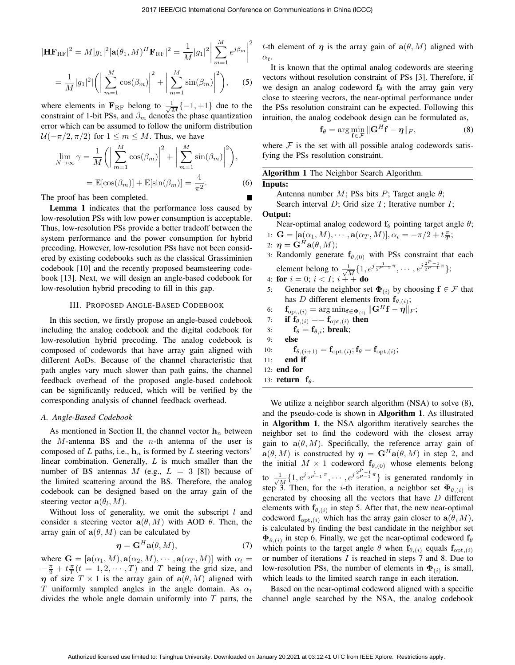$$
|\mathbf{H}\mathbf{F}_{\text{RF}}|^2 = M|g_1|^2 |\mathbf{a}(\theta_1, M)^H \mathbf{F}_{\text{RF}}|^2 = \frac{1}{M} |g_1|^2 \left| \sum_{m=1}^M e^{j\beta_m} \right|^2
$$

$$
= \frac{1}{M} |g_1|^2 \left| \left( \left| \sum_{m=1}^M \cos(\beta_m) \right|^2 + \left| \sum_{m=1}^M \sin(\beta_m) \right|^2 \right), \qquad (5)
$$

where elements in  $\mathbf{F}_{\text{RF}}$  belong to  $\frac{1}{\sqrt{M}}\{-1,+1\}$  due to the constraint of 1 bit PSs, and  $\beta$  denotes the phase quantization constraint of 1-bit PSs, and  $\beta_m$  denotes the phase quantization error which can be assumed to follow the uniform distribution  $U(-\pi/2, \pi/2)$  for  $1 \le m \le M$ . Thus, we have

$$
\lim_{N \to \infty} \gamma = \frac{1}{M} \left( \left| \sum_{m=1}^{M} \cos(\beta_m) \right|^2 + \left| \sum_{m=1}^{M} \sin(\beta_m) \right|^2 \right),
$$
  
=  $\mathbb{E}[\cos(\beta_m)] + \mathbb{E}[\sin(\beta_m)] = \frac{4}{\pi^2}.$  (6)

The proof has been completed.

Lemma 1 indicates that the performance loss caused by low-resolution PSs with low power consumption is acceptable. Thus, low-resolution PSs provide a better tradeoff between the system performance and the power consumption for hybrid precoding. However, low-resolution PSs have not been considered by existing codebooks such as the classical Grassiminien codebook [10] and the recently proposed beamsteering codebook [13]. Next, we will design an angle-based codebook for low-resolution hybrid precoding to fill in this gap.

## III. PROPOSED ANGLE-BASED CODEBOOK

In this section, we firstly propose an angle-based codebook including the analog codebook and the digital codebook for low-resolution hybrid precoding. The analog codebook is composed of codewords that have array gain aligned with different AoDs. Because of the channel characteristic that path angles vary much slower than path gains, the channel feedback overhead of the proposed angle-based codebook can be significantly reduced, which will be verified by the corresponding analysis of channel feedback overhead.

#### *A. Angle-Based Codebook*

As mentioned in Section II, the channel vector  $\mathbf{h}_n$  between the  $M$ -antenna BS and the  $n$ -th antenna of the user is composed of  $L$  paths, i.e.,  $\mathbf{h}_n$  is formed by  $L$  steering vectors' linear combination. Generally,  $L$  is much smaller than the number of BS antennas M (e.g.,  $L = 3$  [8]) because of the limited scattering around the BS. Therefore, the analog codebook can be designed based on the array gain of the steering vector  $\mathbf{a}(\theta_l, M)$ .

Without loss of generality, we omit the subscript  $l$  and consider a steering vector  $a(\theta, M)$  with AOD  $\theta$ . Then, the array gain of  $a(\theta, M)$  can be calculated by

$$
\boldsymbol{\eta} = \mathbf{G}^H \mathbf{a}(\theta, M),\tag{7}
$$

where  $\mathbf{G} = [\mathbf{a}(\alpha_1, M), \mathbf{a}(\alpha_2, M), \cdots, \mathbf{a}(\alpha_T, M)]$  with  $\alpha_t =$ <br> $-\frac{\pi}{2} + t \frac{\pi}{2}(t - 1, 2, \cdots, T)$  and T being the grid size and  $-\frac{\pi}{2} + t \frac{\pi}{T} (t = 1, 2, \dots, T)$  and T being the grid size, and<br>n of size  $T \times 1$  is the array gain of  $2(\theta, M)$  aligned with *η* of size  $T \times 1$  is the array gain of  $a(\theta, M)$  aligned with T uniformly sampled angles in the angle domain. As  $\alpha_t$ divides the whole angle domain uniformly into  $T$  parts, the t-th element of  $\eta$  is the array gain of  $a(\theta, M)$  aligned with  $\alpha_t$ .

It is known that the optimal analog codewords are steering vectors without resolution constraint of PSs [3]. Therefore, if we design an analog codeword  $f_\theta$  with the array gain very close to steering vectors, the near-optimal performance under the PSs resolution constraint can be expected. Following this intuition, the analog codebook design can be formulated as,

$$
\mathbf{f}_{\theta} = \arg\min_{\mathbf{f} \in \mathcal{F}} \|\mathbf{G}^H \mathbf{f} - \boldsymbol{\eta}\|_F, \tag{8}
$$

where  $\mathcal F$  is the set with all possible analog codewords satisfying the PSs resolution constraint.

| Algorithm 1 The Neighbor Search Algorithm. |  |  |  |  |  |  |
|--------------------------------------------|--|--|--|--|--|--|
| Inputs:                                    |  |  |  |  |  |  |
|                                            |  |  |  |  |  |  |

Antenna number  $M$ ; PSs bits  $P$ ; Target angle  $\theta$ ; Search interval  $D$ ; Grid size  $T$ ; Iterative number  $I$ ;

# Output:

Near-optimal analog codeword  $f_\theta$  pointing target angle  $\theta$ ;

1: 
$$
\mathbf{G} = [\mathbf{a}(\alpha_1, M), \cdots, \mathbf{a}(\alpha_T, M)], \alpha_t = -\pi/2 + t\frac{\pi}{T};
$$
  
2: 
$$
\mathbf{n} = \mathbf{G}^H \mathbf{a}(\theta, M).
$$

$$
u: \eta = G^{-}a(\theta, M);
$$

2:  $\eta = \mathbf{G}^H \mathbf{a}(\theta, M);$ <br>3: Randomly generate  $\mathbf{f}_{\theta,(0)}$  with PSs constraint that each element belong to  $\frac{1}{\sqrt{M}}\{1, e^{j\frac{1}{2^{P-1}}\pi}, \cdots, e^{j\frac{2^{P-1}}{2^{P-1}}\pi}\}$ ;<br>for  $i = 0$ ;  $i < I$ ;  $i + \frac{1}{2^{P-1}}$  do

4: **for** 
$$
i = 0
$$
;  $i < I$ ;  $i + +$  **do**

4: **for**  $i = 0$ ;  $i < I$ ;  $i + 1$  **do**<br>5: Generate the neighbor set  $\Phi_{(i)}$  by choosing  $f \in \mathcal{F}$  that has D different elements from  $f_{\theta,(i)}$ ;

6: 
$$
\mathbf{f}_{\text{opt},(i)} = \arg \min_{\mathbf{f} \in \mathbf{\Phi}_{(i)}} \|\mathbf{G}^H \mathbf{f} - \mathbf{\eta}\|_F;
$$

7: if 
$$
f_{\theta,(i)} == f_{\text{opt},(i)}
$$
 then  
8:  $f_{\theta} - f_{\theta}$ : break:

8: 
$$
f_{\theta} = f_{\theta, i}
$$
; break;  
0. else

$$
9: \qquad \textbf{else}
$$

10: 
$$
\mathbf{f}_{\theta,(i+1)} = \mathbf{f}_{\text{opt},(i)}; \mathbf{f}_{\theta} = \mathbf{f}_{\text{opt},(i)};
$$

$$
11: \quad end \text{ if }
$$

$$
12: \text{ end for}
$$

13: return 
$$
f_{\theta}
$$
.

We utilize a neighbor search algorithm (NSA) to solve  $(8)$ , and the pseudo-code is shown in Algorithm 1. As illustrated in Algorithm 1, the NSA algorithm iteratively searches the neighbor set to find the codeword with the closest array gain to  $a(\theta, M)$ . Specifically, the reference array gain of  $\mathbf{a}(\theta, M)$  is constructed by  $\boldsymbol{\eta} = \mathbf{G}^H \mathbf{a}(\theta, M)$  in step 2, and the initial  $M \times 1$  codeword  $\mathbf{f}_{\theta,(0)}$  whose elements belong to  $\frac{1}{\sqrt{M}}\{1, e^{j\frac{1}{2^{P-1}}\pi}, \cdots, e^{j\frac{2^{P-1}}{2^{P-1}}\pi}\}$  is generated randomly in step 3. Then, for the *i*-th iteration, a neighbor set  $\Phi_{\theta,(i)}$  is generated by choosing all the vectors that have  $D$  different elements with  $f_{\theta,(i)}$  in step 5. After that, the new near-optimal codeword  $f_{opt,(i)}$  which has the array gain closer to  $a(\theta, M)$ , is calculated by finding the best candidate in the neighbor set  $\Phi_{\theta,(i)}$  in step 6. Finally, we get the near-optimal codeword  $f_{\theta}$ which points to the target angle  $\theta$  when  $\mathbf{f}_{\theta,(i)}$  equals  $\mathbf{f}_{\text{opt},(i)}$ or number of iterations  $I$  is reached in steps  $7$  and  $8$ . Due to low-resolution PSs, the number of elements in  $\Phi_{(i)}$  is small, which leads to the limited search range in each iteration.

Based on the near-optimal codeword aligned with a specific channel angle searched by the NSA, the analog codebook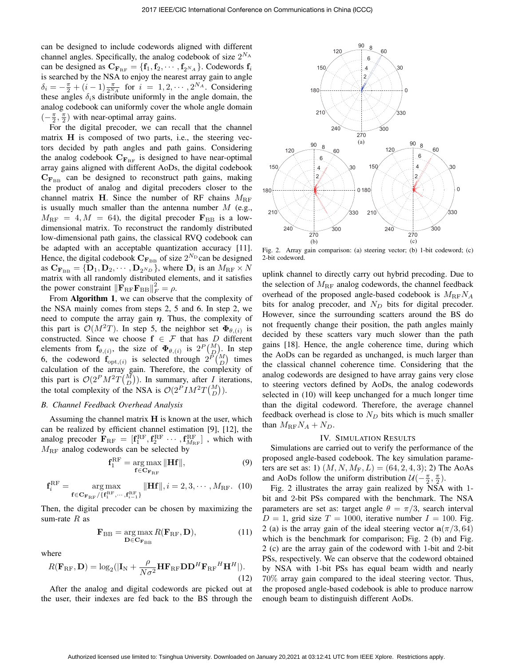can be designed to include codewords aligned with different channel angles. Specifically, the analog codebook of size  $2^{N_A}$ can be designed as  $\mathbf{C}_{\mathbf{F}_{\text{RF}}} = {\mathbf{f}_{1}, \mathbf{f}_{2}, \cdots, \mathbf{f}_{2^{N_{A}}}}$ . Codewords  $\mathbf{f}_{i}$ is searched by the NSA to enjoy the nearest array gain to angle  $\delta_i = -\frac{\pi}{2} + (i-1)\frac{\pi}{2^N A}$  for  $i = 1, 2, \cdots, 2^{N_A}$ . Considering these angles  $\delta$  s distribute uniformly in the angle domain the these angles  $\delta_i$ s distribute uniformly in the angle domain, the analog codebook can uniformly cover the whole angle domain  $\left(-\frac{\pi}{2}, \frac{\pi}{2}\right)$  with near-optimal array gains.<br>Ear the digital preceder we can re

For the digital precoder, we can recall that the channel matrix **H** is composed of two parts, i.e., the steering vectors decided by path angles and path gains. Considering the analog codebook  $C_{\mathbf{F}_{RF}}$  is designed to have near-optimal array gains aligned with different AoDs, the digital codebook  $C_{\mathbf{F}_{\text{BB}}}$  can be designed to reconstruct path gains, making the product of analog and digital precoders closer to the channel matrix **H**. Since the number of RF chains  $M_{\text{RF}}$ is usually much smaller than the antenna number  $M$  (e.g.,  $M_{\text{RF}} = 4, M = 64$ , the digital precoder  $\mathbf{F}_{\text{BB}}$  is a lowdimensional matrix. To reconstruct the randomly distributed low-dimensional path gains, the classical RVQ codebook can be adapted with an acceptable quantization accuracy [11]. Hence, the digital codebook  $C_{\mathbf{F}_{\text{BB}}}$  of size  $2^{N_D}$  can be designed as  $\mathbf{C_{F_{BB}}} = {\mathbf{D}_1, \mathbf{D}_2, \cdots, \mathbf{D}_{2^{N_D}}},$  where  $\mathbf{D}_i$  is an  $M_{\text{RF}} \times N$ matrix with all randomly distributed elements, and it satisfies the power constraint  $\|\mathbf{F}_{\text{RF}}\mathbf{F}_{\text{BB}}\|_F^2 = \rho$ .<br>From **Algorithm 1**, we can observe

From Algorithm 1, we can observe that the complexity of the NSA mainly comes from steps 2, 5 and 6. In step 2, we need to compute the array gain  $\eta$ . Thus, the complexity of this part is  $\mathcal{O}(M^2T)$ . In step 5, the neighbor set  $\Phi_{\theta,(i)}$  is constructed. Since we choose  $f \in \mathcal{F}$  that has  $D$  different elements from  $\mathbf{f}_{\theta,(i)}$ , the size of  $\mathbf{\Phi}_{\theta,(i)}$  is  $2^P \binom{M}{D}$ . In step<br>6, the codeword  $\mathbf{f}_{\theta,(i)}$  is selected through  $2^P \binom{M}{D}$  times 6, the codeword  $\mathbf{f}_{\text{opt},(i)}$  is selected through  $2^{\tilde{P}(M)}$  times<br>calculation of the array gain. Therefore, the complexity of calculation of the array gain. Therefore, the complexity of this part is  $\mathcal{O}(2^P M^2 T \binom{M}{D})$ . In summary, after *I* iterations, the total complexity of the NSA is  $\mathcal{O}(2^P IM^2T{M \choose D})$ .

#### *B. Channel Feedback Overhead Analysis*

Assuming the channel matrix **H** is known at the user, which can be realized by efficient channel estimation [9], [12], the analog precoder  $\mathbf{F}_{\text{RF}} = [\mathbf{f}_1^{\text{RF}}, \mathbf{f}_2^{\text{RF}} \cdots, \mathbf{f}_{k_{\text{RF}}}^{\text{RF}}]$ , which with  $M_{\text{RF}}$  analog codewords can be selected by  $M<sub>RF</sub>$  analog codewords can be selected by

$$
\mathbf{f}_1^{\rm RF} = \underset{\mathbf{f} \in \mathbf{C}_{\mathbf{F}_{\rm RF}}} {\arg \max} \|\mathbf{H}\mathbf{f}\|, \tag{9}
$$

$$
\mathbf{f}_{i}^{\mathrm{RF}} = \underset{\mathbf{f} \in \mathbf{C}_{\mathbf{F}_{\mathrm{RF}}}/\{\mathbf{f}_{1}^{\mathrm{RF}}, \cdots, \mathbf{f}_{i-1}^{\mathrm{RF}}\}}{\mathrm{arg\,max}} ||\mathbf{H}\mathbf{f}||, i = 2, 3, \cdots, M_{\mathrm{RF}}.\ (10)
$$

Then, the digital precoder can be chosen by maximizing the sum-rate  $R$  as

$$
\mathbf{F}_{\rm BB} = \underset{\mathbf{D} \in \mathbf{C}_{\mathbf{F}_{\rm BB}}}{\arg \max} R(\mathbf{F}_{\rm RF}, \mathbf{D}), \tag{11}
$$

where

$$
R(\mathbf{F}_{\rm RF}, \mathbf{D}) = \log_2(|\mathbf{I}_{\rm N} + \frac{\rho}{N\sigma^2} \mathbf{H} \mathbf{F}_{\rm RF} \mathbf{D} \mathbf{D}^H \mathbf{F}_{\rm RF}^H \mathbf{H}^H|).
$$
(12)

After the analog and digital codewords are picked out at the user, their indexes are fed back to the BS through the



Fig. 2. Array gain comparison: (a) steering vector; (b) 1-bit codeword; (c) 2-bit codeword.

uplink channel to directly carry out hybrid precoding. Due to the selection of  $M_{\text{RF}}$  analog codewords, the channel feedback overhead of the proposed angle-based codebook is  $M_{\text{RF}}N_A$ bits for analog precoder, and  $N_D$  bits for digital precoder. However, since the surrounding scatters around the BS do not frequently change their position, the path angles mainly decided by these scatters vary much slower than the path gains [18]. Hence, the angle coherence time, during which the AoDs can be regarded as unchanged, is much larger than the classical channel coherence time. Considering that the analog codewords are designed to have array gains very close to steering vectors defined by AoDs, the analog codewords selected in (10) will keep unchanged for a much longer time than the digital codeword. Therefore, the average channel feedback overhead is close to  $N_D$  bits which is much smaller than  $M_{\text{RF}}N_A + N_D$ .

## IV. SIMULATION RESULTS

Simulations are carried out to verify the performance of the proposed angle-based codebook. The key simulation parameters are set as: 1)  $(M, N, M_F, L) = (64, 2, 4, 3)$ ; 2) The AoAs and AoDs follow the uniform distribution  $\mathcal{U}(-\frac{\pi}{2}, \frac{\pi}{2})$ .<br>Fig. 2 illustrates the array gain realized by NSA.

Fig. 2 illustrates the array gain realized by NSA with 1 bit and 2-bit PSs compared with the benchmark. The NSA parameters are set as: target angle  $\theta = \pi/3$ , search interval  $D = 1$ , grid size  $T = 1000$ , iterative number  $I = 100$ . Fig. 2 (a) is the array gain of the ideal steering vector  $a(\pi/3, 64)$ which is the benchmark for comparison; Fig. 2 (b) and Fig. 2 (c) are the array gain of the codeword with 1-bit and 2-bit PSs, respectively. We can observe that the codeword obtained by NSA with 1-bit PSs has equal beam width and nearly 70% array gain compared to the ideal steering vector. Thus, the proposed angle-based codebook is able to produce narrow enough beam to distinguish different AoDs.